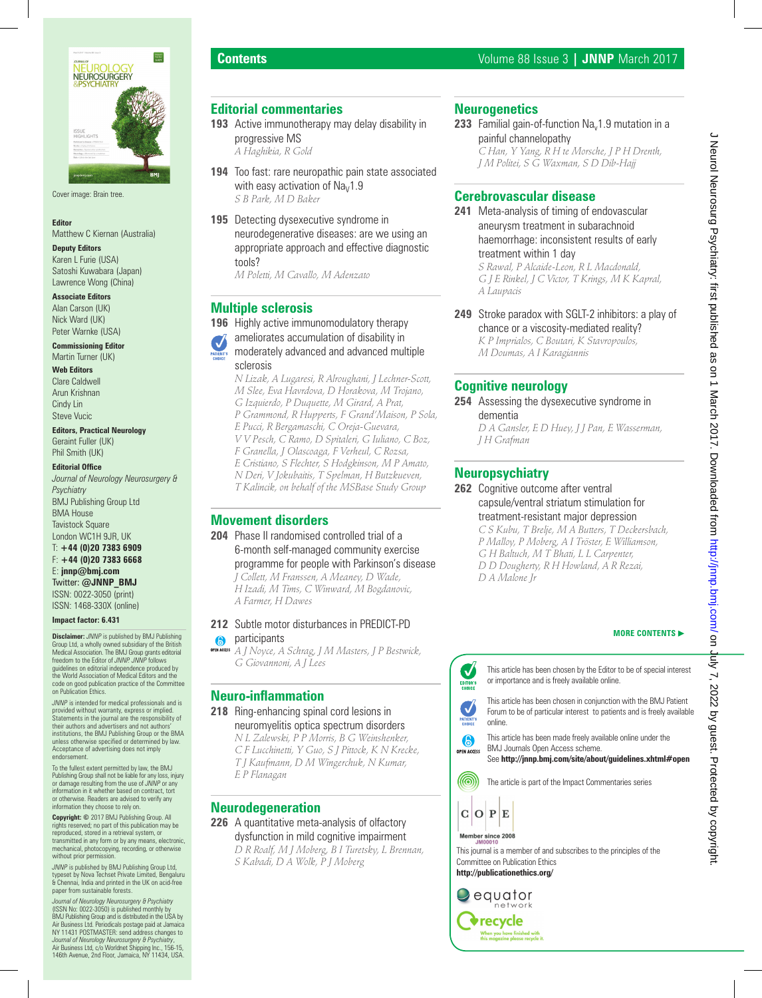

Cover image: Brain tree.

#### **Editor**

Matthew C Kiernan (Australia)

**Deputy Editors** Karen L Furie (USA)

Satoshi Kuwabara (Japan) Lawrence Wong (China)

#### **Associate Editors**

Alan Carson (UK) Nick Ward (UK) Peter Warnke (USA)

#### **Commissioning Editor**

Martin Turner (UK) **Web Editors**

Clare Caldwell Arun Krishnan Cindy Lin Steve Vucic

**Editors, Practical Neurology** Geraint Fuller (UK) Phil Smith (UK)

#### **Editorial Office**

*Journal of Neurology Neurosurgery & Psychiatry* BMJ Publishing Group Ltd

BMA House **Tavistock Square** London WC1H 9JR, UK

T: **+44 (0)20 7383 6909** F: **+44 (0)20 7383 6668**

E: **jnnp@bmj.com** Twitter: **@JNNP\_BMJ**

ISSN: 0022-3050 (print) ISSN: 1468-330X (online)

#### **Impact factor: 6.431**

**Disclaimer:** *JNNP* is published by BMJ Publishing Group Ltd, a wholly owned subsidiary of the British Medical Association. The BMJ Group grants editorial freedom to the Editor of *JNNP. JNNP* follows guidelines on editorial independence produced by the World Association of Medical Editors and the code on good publication practice of the Committee on Publication Ethics.

*JNNP* is intended for medical professionals and is provided without warranty, express or implied. Statements in the journal are the responsibility of their authors and advertisers and not authors' institutions, the BMJ Publishing Group or the BMA unless otherwise specified or determined by law. Acceptance of advertising does not imply endorsement.

To the fullest extent permitted by law, the BMJ Publishing Group shall not be liable for any loss, injury or damage resulting from the use of *JNNP* or any information in it whether based on contract, tort or otherwise. Readers are advised to verify any information they choose to rely on.

**Copyright: ©** 2017 BMJ Publishing Group. All rights reserved; no part of this publication may be reproduced, stored in a retrieval system, or transmitted in any form or by any means, electronic, mechanical, photocopying, recording, or otherwise without prior permission.

*JNNP* is published by BMJ Publishing Group Ltd, typeset by Nova Techset Private Limited, Bengaluru & Chennai, India and printed in the UK on acid-free paper from sustainable forests.

*Journal of Neurology Neurosurgery & Psychiatry*  (ISSN No: 0022-3050) is published monthly by BMJ Publishing Group and is distributed in the USA by Air Business Ltd. Periodicals postage paid at Jamaica NY 11431 POSTMASTER: send address changes to<br>*Journal of Neurology Neurosurgery & Psychiatry,*<br>Air Business Ltd, c/o Worldnet Shipping Inc., 156-15,<br>146th Avenue, 2nd Floor, Jamaica, NY 11434, USA.

# **Editorial commentaries**

- **193** Active immunotherapy may delay disability in progressive MS  *A Haghikia, R Gold*
- **194** Too fast: rare neuropathic pain state associated with easy activation of  $Na<sub>V</sub>1.9$ *S B Park, M D Baker*
- **195** Detecting dysexecutive syndrome in neurodegenerative diseases: are we using an appropriate approach and effective diagnostic tools?

*M Poletti, M Cavallo, M Adenzato*

#### **Multiple sclerosis**

- **196** Highly active immunomodulatory therapy
	- ameliorates accumulation of disability in

#### moderately advanced and advanced multiple sclerosis

 *N Lizak, A Lugaresi, R Alroughani, J Lechner-Scott, M Slee, Eva Havrdova, D Horakova, M Trojano, G Izquierdo, P Duquette, M Girard, A Prat, P Grammond, R Hupperts, F Grand'Maison, P Sola, E Pucci, R Bergamaschi, C Oreja-Guevara, V V Pesch, C Ramo, D Spitaleri, G Iuliano, C Boz, F Granella, J Olascoaga, F Verheul, C Rozsa, E Cristiano, S Flechter, S Hodgkinson, M P Amato, N Deri, V Jokubaitis, T Spelman, H Butzkueven, T Kalincik, on behalf of the MSBase Study Group*

# **Movement disorders**

**204** Phase II randomised controlled trial of a 6-month self-managed community exercise programme for people with Parkinson's disease  *J Collett, M Franssen, A Meaney, D Wade, H Izadi, M Tims, C Winward, M Bogdanovic, A Farmer, H Dawes*

#### **212** Subtle motor disturbances in PREDICT-PD

#### **a** participants

 *A J Noyce, A Schrag, J M Masters, J P Bestwick, G Giovannoni, A J Lees*

#### **Neuro-inflammation**

- **218** Ring-enhancing spinal cord lesions in neuromyelitis optica spectrum disorders  *N L Zalewski, P P Morris, B G Weinshenker,* 
	- *C F Lucchinetti, Y Guo, S J Pittock, K N Krecke,*
	- *T J Kaufmann, D M Wingerchuk, N Kumar,*
	- *E P Flanagan*

# **Neurodegeneration**

**226** A quantitative meta-analysis of olfactory dysfunction in mild cognitive impairment  *D R Roalf, M J Moberg, B I Turetsky, L Brennan, S Kabadi, D A Wolk, P J Moberg*

#### **Neurogenetics**

**233** Familial gain-of-function  $Na<sub>v</sub>1.9$  mutation in a painful channelopathy  *C Han, Y Yang, R H te Morsche, J P H Drenth,* 

*J M Politei, S G Waxman, S D Dib-Hajj*

#### **Cerebrovascular disease**

- **241** Meta-analysis of timing of endovascular aneurysm treatment in subarachnoid haemorrhage: inconsistent results of early treatment within 1 day  *S Rawal, P Alcaide-Leon, R L Macdonald, G J E Rinkel, J C Victor, T Krings, M K Kapral, A Laupacis*
- **249** Stroke paradox with SGLT-2 inhibitors: a play of chance or a viscosity-mediated reality?  *K P Imprialos, C Boutari, K Stavropoulos, M Doumas, A I Karagiannis*

# **Cognitive neurology**

**254** Assessing the dysexecutive syndrome in dementia  *D A Gansler, E D Huey, J J Pan, E Wasserman,* 

*J H Grafman*

# **Neuropsychiatry**

**262** Cognitive outcome after ventral capsule/ventral striatum stimulation for treatment-resistant major depression

 *C S Kubu, T Brelje, M A Butters, T Deckersbach, P Malloy, P Moberg, A I Tröster, E Williamson, G H Baltuch, M T Bhati, L L Carpenter, D D Dougherty, R H Howland, A R Rezai, D A Malone Jr*

#### **MORE CONTENTS**

This article has been chosen by the Editor to be of special interest or importance and is freely available online. EDITOR'S

This article has been chosen in conjunction with the BMJ Patient Forum to be of particular interest to patients and is freely available online.



See **http://jnnp.bmj.com/site/about/guidelines.xhtml#open** 

The article is part of the Impact Commentaries series

 $C$  O  $P$  E

Member since 2008

#### This journal is a member of and subscribes to the principles of the Committee on Publication Ethics **http://publicationethics.org/**

equator network **v** recycle .<br>When you have finished with<br>this magazine please recycle it



 $\checkmark$ 

V